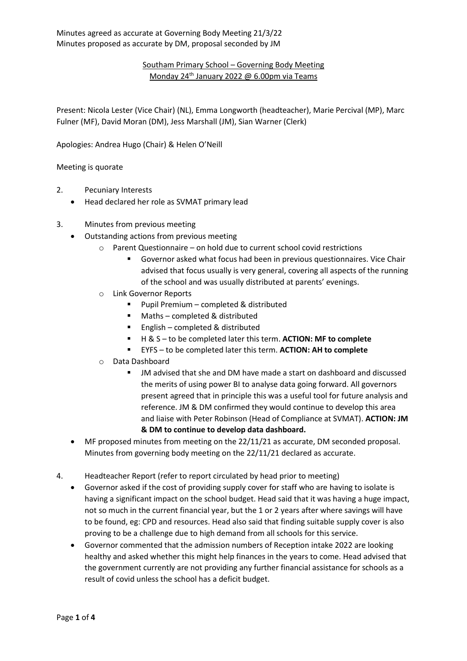## Southam Primary School – Governing Body Meeting Monday 24<sup>th</sup> January 2022 @ 6.00pm via Teams

Present: Nicola Lester (Vice Chair) (NL), Emma Longworth (headteacher), Marie Percival (MP), Marc Fulner (MF), David Moran (DM), Jess Marshall (JM), Sian Warner (Clerk)

Apologies: Andrea Hugo (Chair) & Helen O'Neill

Meeting is quorate

- 2. Pecuniary Interests
	- Head declared her role as SVMAT primary lead
- 3. Minutes from previous meeting
	- Outstanding actions from previous meeting
		- o Parent Questionnaire on hold due to current school covid restrictions
			- Governor asked what focus had been in previous questionnaires. Vice Chair advised that focus usually is very general, covering all aspects of the running of the school and was usually distributed at parents' evenings.
		- o Link Governor Reports
			- Pupil Premium completed & distributed
			- Maths completed & distributed
			- English completed & distributed
			- H & S to be completed later this term. **ACTION: MF to complete**
			- EYFS to be completed later this term. **ACTION: AH to complete**
		- o Data Dashboard
			- JM advised that she and DM have made a start on dashboard and discussed the merits of using power BI to analyse data going forward. All governors present agreed that in principle this was a useful tool for future analysis and reference. JM & DM confirmed they would continue to develop this area and liaise with Peter Robinson (Head of Compliance at SVMAT). **ACTION: JM & DM to continue to develop data dashboard.**
	- MF proposed minutes from meeting on the 22/11/21 as accurate, DM seconded proposal. Minutes from governing body meeting on the 22/11/21 declared as accurate.
- 4. Headteacher Report (refer to report circulated by head prior to meeting)
	- Governor asked if the cost of providing supply cover for staff who are having to isolate is having a significant impact on the school budget. Head said that it was having a huge impact, not so much in the current financial year, but the 1 or 2 years after where savings will have to be found, eg: CPD and resources. Head also said that finding suitable supply cover is also proving to be a challenge due to high demand from all schools for this service.
	- Governor commented that the admission numbers of Reception intake 2022 are looking healthy and asked whether this might help finances in the years to come. Head advised that the government currently are not providing any further financial assistance for schools as a result of covid unless the school has a deficit budget.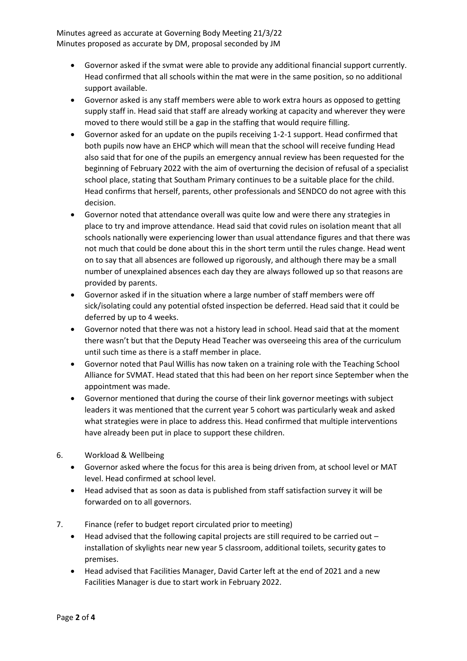Minutes agreed as accurate at Governing Body Meeting 21/3/22 Minutes proposed as accurate by DM, proposal seconded by JM

- Governor asked if the svmat were able to provide any additional financial support currently. Head confirmed that all schools within the mat were in the same position, so no additional support available.
- Governor asked is any staff members were able to work extra hours as opposed to getting supply staff in. Head said that staff are already working at capacity and wherever they were moved to there would still be a gap in the staffing that would require filling.
- Governor asked for an update on the pupils receiving 1-2-1 support. Head confirmed that both pupils now have an EHCP which will mean that the school will receive funding Head also said that for one of the pupils an emergency annual review has been requested for the beginning of February 2022 with the aim of overturning the decision of refusal of a specialist school place, stating that Southam Primary continues to be a suitable place for the child. Head confirms that herself, parents, other professionals and SENDCO do not agree with this decision.
- Governor noted that attendance overall was quite low and were there any strategies in place to try and improve attendance. Head said that covid rules on isolation meant that all schools nationally were experiencing lower than usual attendance figures and that there was not much that could be done about this in the short term until the rules change. Head went on to say that all absences are followed up rigorously, and although there may be a small number of unexplained absences each day they are always followed up so that reasons are provided by parents.
- Governor asked if in the situation where a large number of staff members were off sick/isolating could any potential ofsted inspection be deferred. Head said that it could be deferred by up to 4 weeks.
- Governor noted that there was not a history lead in school. Head said that at the moment there wasn't but that the Deputy Head Teacher was overseeing this area of the curriculum until such time as there is a staff member in place.
- Governor noted that Paul Willis has now taken on a training role with the Teaching School Alliance for SVMAT. Head stated that this had been on her report since September when the appointment was made.
- Governor mentioned that during the course of their link governor meetings with subject leaders it was mentioned that the current year 5 cohort was particularly weak and asked what strategies were in place to address this. Head confirmed that multiple interventions have already been put in place to support these children.
- 6. Workload & Wellbeing
	- Governor asked where the focus for this area is being driven from, at school level or MAT level. Head confirmed at school level.
	- Head advised that as soon as data is published from staff satisfaction survey it will be forwarded on to all governors.
- 7. Finance (refer to budget report circulated prior to meeting)
	- Head advised that the following capital projects are still required to be carried out installation of skylights near new year 5 classroom, additional toilets, security gates to premises.
	- Head advised that Facilities Manager, David Carter left at the end of 2021 and a new Facilities Manager is due to start work in February 2022.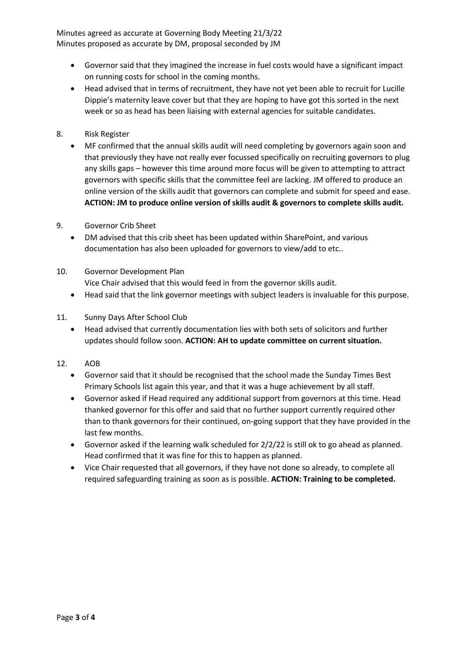Minutes agreed as accurate at Governing Body Meeting 21/3/22 Minutes proposed as accurate by DM, proposal seconded by JM

- Governor said that they imagined the increase in fuel costs would have a significant impact on running costs for school in the coming months.
- Head advised that in terms of recruitment, they have not yet been able to recruit for Lucille Dippie's maternity leave cover but that they are hoping to have got this sorted in the next week or so as head has been liaising with external agencies for suitable candidates.
- 8. Risk Register
	- MF confirmed that the annual skills audit will need completing by governors again soon and that previously they have not really ever focussed specifically on recruiting governors to plug any skills gaps – however this time around more focus will be given to attempting to attract governors with specific skills that the committee feel are lacking. JM offered to produce an online version of the skills audit that governors can complete and submit for speed and ease. **ACTION: JM to produce online version of skills audit & governors to complete skills audit.**
- 9. Governor Crib Sheet
	- DM advised that this crib sheet has been updated within SharePoint, and various documentation has also been uploaded for governors to view/add to etc..
- 10. Governor Development Plan Vice Chair advised that this would feed in from the governor skills audit.
	- Head said that the link governor meetings with subject leaders is invaluable for this purpose.
- 11. Sunny Days After School Club
	- Head advised that currently documentation lies with both sets of solicitors and further updates should follow soon. **ACTION: AH to update committee on current situation.**
- 12. AOB
	- Governor said that it should be recognised that the school made the Sunday Times Best Primary Schools list again this year, and that it was a huge achievement by all staff.
	- Governor asked if Head required any additional support from governors at this time. Head thanked governor for this offer and said that no further support currently required other than to thank governors for their continued, on-going support that they have provided in the last few months.
	- Governor asked if the learning walk scheduled for 2/2/22 is still ok to go ahead as planned. Head confirmed that it was fine for this to happen as planned.
	- Vice Chair requested that all governors, if they have not done so already, to complete all required safeguarding training as soon as is possible. **ACTION: Training to be completed.**